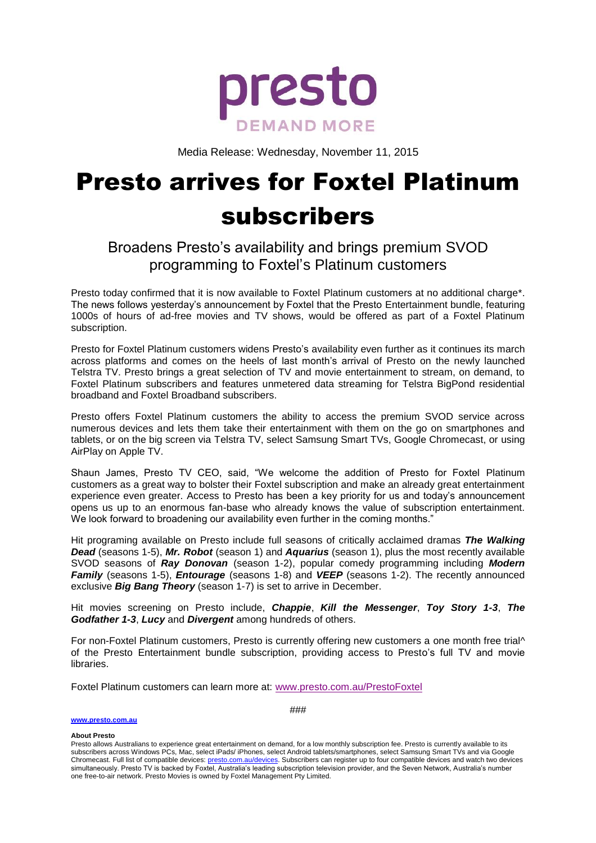

Media Release: Wednesday, November 11, 2015

## Presto arrives for Foxtel Platinum subscribers

## Broadens Presto's availability and brings premium SVOD programming to Foxtel's Platinum customers

Presto today confirmed that it is now available to Foxtel Platinum customers at no additional charge\*. The news follows yesterday's announcement by Foxtel that the Presto Entertainment bundle, featuring 1000s of hours of ad-free movies and TV shows, would be offered as part of a Foxtel Platinum subscription.

Presto for Foxtel Platinum customers widens Presto's availability even further as it continues its march across platforms and comes on the heels of last month's arrival of Presto on the newly launched Telstra TV. Presto brings a great selection of TV and movie entertainment to stream, on demand, to Foxtel Platinum subscribers and features unmetered data streaming for Telstra BigPond residential broadband and Foxtel Broadband subscribers.

Presto offers Foxtel Platinum customers the ability to access the premium SVOD service across numerous devices and lets them take their entertainment with them on the go on smartphones and tablets, or on the big screen via Telstra TV, select Samsung Smart TVs, Google Chromecast, or using AirPlay on Apple TV.

Shaun James, Presto TV CEO, said, "We welcome the addition of Presto for Foxtel Platinum customers as a great way to bolster their Foxtel subscription and make an already great entertainment experience even greater. Access to Presto has been a key priority for us and today's announcement opens us up to an enormous fan-base who already knows the value of subscription entertainment. We look forward to broadening our availability even further in the coming months."

Hit programing available on Presto include full seasons of critically acclaimed dramas *The Walking Dead* (seasons 1-5), *Mr. Robot* (season 1) and *Aquarius* (season 1), plus the most recently available SVOD seasons of *Ray Donovan* (season 1-2), popular comedy programming including *Modern Family* (seasons 1-5), *Entourage* (seasons 1-8) and *VEEP* (seasons 1-2). The recently announced exclusive *Big Bang Theory* (season 1-7) is set to arrive in December.

Hit movies screening on Presto include, *Chappie*, *Kill the Messenger*, *Toy Story 1-3*, *The Godfather 1-3*, *Lucy* and *Divergent* among hundreds of others.

For non-Foxtel Platinum customers, Presto is currently offering new customers a one month free trial^ of the Presto Entertainment bundle subscription, providing access to Presto's full TV and movie libraries.

Foxtel Platinum customers can learn more at: [www.presto.com.au/PrestoFoxtel](http://www.presto.com.au/PrestoFoxtel)

**[www.presto.com.au](http://www.presto.com.au/)**

###

**About Presto**

Presto allows Australians to experience great entertainment on demand, for a low monthly subscription fee. Presto is currently available to its subscribers across Windows PCs, Mac, select iPads/ iPhones, select Android tablets/smartphones, select Samsung Smart TVs and via Google Chromecast. Full list of compatible devices[: presto.com.au/devices.](http://presto.com.au/devices) Subscribers can register up to four compatible devices and watch two devices simultaneously. Presto TV is backed by Foxtel, Australia's leading subscription television provider, and the Seven Network, Australia's number one free-to-air network. Presto Movies is owned by Foxtel Management Pty Limited.